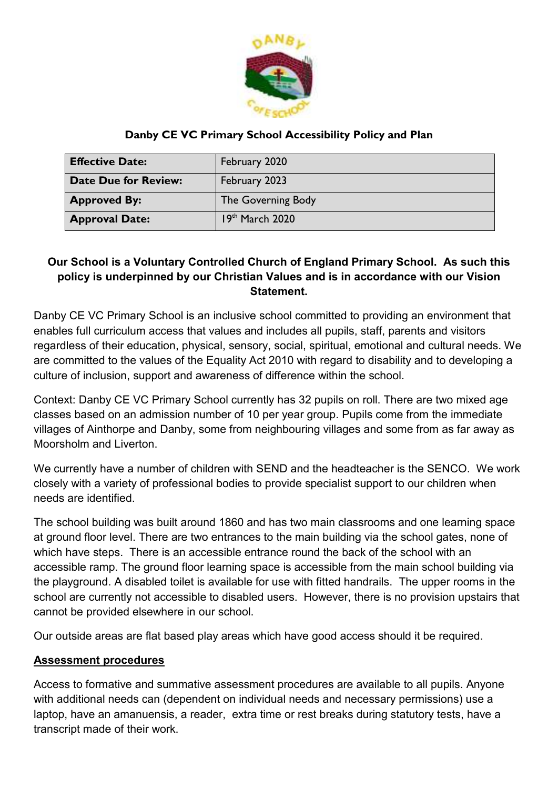

# **Danby CE VC Primary School Accessibility Policy and Plan**

| <b>Effective Date:</b>      | February 2020      |
|-----------------------------|--------------------|
| <b>Date Due for Review:</b> | February 2023      |
| <b>Approved By:</b>         | The Governing Body |
| <b>Approval Date:</b>       | $19th$ March 2020  |

# **Our School is a Voluntary Controlled Church of England Primary School. As such this policy is underpinned by our Christian Values and is in accordance with our Vision Statement.**

Danby CE VC Primary School is an inclusive school committed to providing an environment that enables full curriculum access that values and includes all pupils, staff, parents and visitors regardless of their education, physical, sensory, social, spiritual, emotional and cultural needs. We are committed to the values of the Equality Act 2010 with regard to disability and to developing a culture of inclusion, support and awareness of difference within the school.

Context: Danby CE VC Primary School currently has 32 pupils on roll. There are two mixed age classes based on an admission number of 10 per year group. Pupils come from the immediate villages of Ainthorpe and Danby, some from neighbouring villages and some from as far away as Moorsholm and Liverton.

We currently have a number of children with SEND and the headteacher is the SENCO. We work closely with a variety of professional bodies to provide specialist support to our children when needs are identified.

The school building was built around 1860 and has two main classrooms and one learning space at ground floor level. There are two entrances to the main building via the school gates, none of which have steps. There is an accessible entrance round the back of the school with an accessible ramp. The ground floor learning space is accessible from the main school building via the playground. A disabled toilet is available for use with fitted handrails. The upper rooms in the school are currently not accessible to disabled users. However, there is no provision upstairs that cannot be provided elsewhere in our school.

Our outside areas are flat based play areas which have good access should it be required.

# **Assessment procedures**

Access to formative and summative assessment procedures are available to all pupils. Anyone with additional needs can (dependent on individual needs and necessary permissions) use a laptop, have an amanuensis, a reader, extra time or rest breaks during statutory tests, have a transcript made of their work.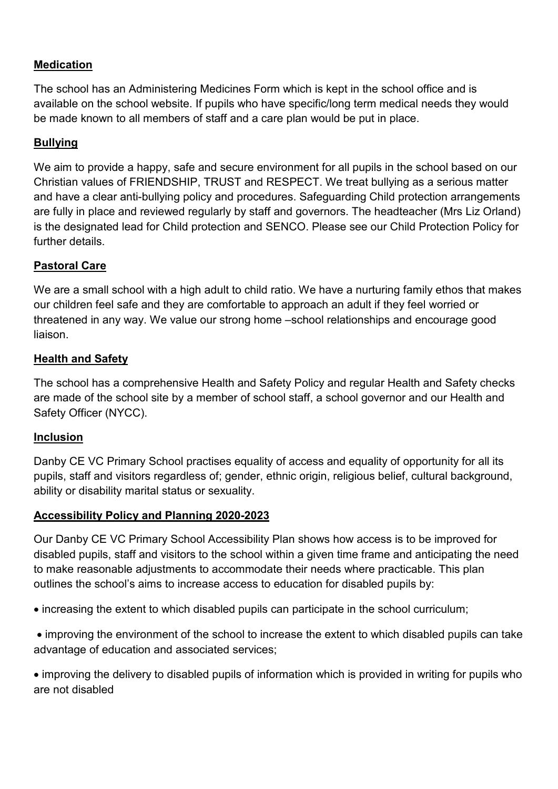# **Medication**

The school has an Administering Medicines Form which is kept in the school office and is available on the school website. If pupils who have specific/long term medical needs they would be made known to all members of staff and a care plan would be put in place.

### **Bullying**

We aim to provide a happy, safe and secure environment for all pupils in the school based on our Christian values of FRIENDSHIP, TRUST and RESPECT. We treat bullying as a serious matter and have a clear anti-bullying policy and procedures. Safeguarding Child protection arrangements are fully in place and reviewed regularly by staff and governors. The headteacher (Mrs Liz Orland) is the designated lead for Child protection and SENCO. Please see our Child Protection Policy for further details.

### **Pastoral Care**

We are a small school with a high adult to child ratio. We have a nurturing family ethos that makes our children feel safe and they are comfortable to approach an adult if they feel worried or threatened in any way. We value our strong home –school relationships and encourage good liaison.

### **Health and Safety**

The school has a comprehensive Health and Safety Policy and regular Health and Safety checks are made of the school site by a member of school staff, a school governor and our Health and Safety Officer (NYCC).

### **Inclusion**

Danby CE VC Primary School practises equality of access and equality of opportunity for all its pupils, staff and visitors regardless of; gender, ethnic origin, religious belief, cultural background, ability or disability marital status or sexuality.

### **Accessibility Policy and Planning 2020-2023**

Our Danby CE VC Primary School Accessibility Plan shows how access is to be improved for disabled pupils, staff and visitors to the school within a given time frame and anticipating the need to make reasonable adjustments to accommodate their needs where practicable. This plan outlines the school's aims to increase access to education for disabled pupils by:

increasing the extent to which disabled pupils can participate in the school curriculum;

 improving the environment of the school to increase the extent to which disabled pupils can take advantage of education and associated services;

 improving the delivery to disabled pupils of information which is provided in writing for pupils who are not disabled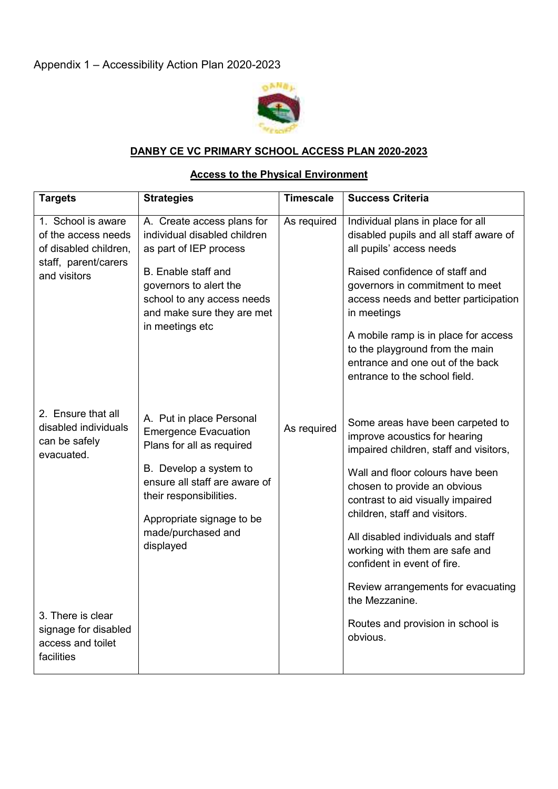

### **DANBY CE VC PRIMARY SCHOOL ACCESS PLAN 2020-2023**

#### **Access to the Physical Environment**

| <b>Targets</b>                                                                                             | <b>Strategies</b>                                                                                                                                                                                                                          | <b>Timescale</b> | <b>Success Criteria</b>                                                                                                                                                                                                                                                                                                                                                                                              |
|------------------------------------------------------------------------------------------------------------|--------------------------------------------------------------------------------------------------------------------------------------------------------------------------------------------------------------------------------------------|------------------|----------------------------------------------------------------------------------------------------------------------------------------------------------------------------------------------------------------------------------------------------------------------------------------------------------------------------------------------------------------------------------------------------------------------|
| 1. School is aware<br>of the access needs<br>of disabled children,<br>staff, parent/carers<br>and visitors | A. Create access plans for<br>individual disabled children<br>as part of IEP process<br>B. Enable staff and<br>governors to alert the<br>school to any access needs<br>and make sure they are met<br>in meetings etc                       | As required      | Individual plans in place for all<br>disabled pupils and all staff aware of<br>all pupils' access needs<br>Raised confidence of staff and<br>governors in commitment to meet<br>access needs and better participation<br>in meetings<br>A mobile ramp is in place for access<br>to the playground from the main<br>entrance and one out of the back<br>entrance to the school field.                                 |
| 2. Ensure that all<br>disabled individuals<br>can be safely<br>evacuated.                                  | A. Put in place Personal<br><b>Emergence Evacuation</b><br>Plans for all as required<br>B. Develop a system to<br>ensure all staff are aware of<br>their responsibilities.<br>Appropriate signage to be<br>made/purchased and<br>displayed | As required      | Some areas have been carpeted to<br>improve acoustics for hearing<br>impaired children, staff and visitors,<br>Wall and floor colours have been<br>chosen to provide an obvious<br>contrast to aid visually impaired<br>children, staff and visitors.<br>All disabled individuals and staff<br>working with them are safe and<br>confident in event of fire.<br>Review arrangements for evacuating<br>the Mezzanine. |
| 3. There is clear<br>signage for disabled<br>access and toilet<br>facilities                               |                                                                                                                                                                                                                                            |                  | Routes and provision in school is<br>obvious.                                                                                                                                                                                                                                                                                                                                                                        |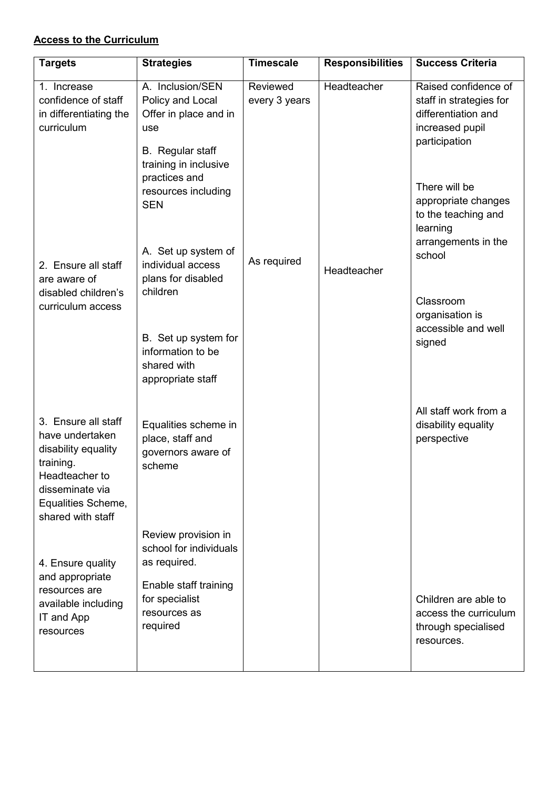## **Access to the Curriculum**

| <b>Targets</b>                                                                                                                                             | <b>Strategies</b>                                                                                                                                         | <b>Timescale</b>          | <b>Responsibilities</b> | <b>Success Criteria</b>                                                                                                     |
|------------------------------------------------------------------------------------------------------------------------------------------------------------|-----------------------------------------------------------------------------------------------------------------------------------------------------------|---------------------------|-------------------------|-----------------------------------------------------------------------------------------------------------------------------|
| 1. Increase<br>confidence of staff<br>in differentiating the<br>curriculum                                                                                 | A. Inclusion/SEN<br>Policy and Local<br>Offer in place and in<br>use<br>B. Regular staff<br>training in inclusive<br>practices and<br>resources including | Reviewed<br>every 3 years | Headteacher             | Raised confidence of<br>staff in strategies for<br>differentiation and<br>increased pupil<br>participation<br>There will be |
| 2. Ensure all staff<br>are aware of<br>disabled children's<br>curriculum access                                                                            | <b>SEN</b><br>A. Set up system of<br>individual access<br>plans for disabled<br>children                                                                  | As required               | Headteacher             | appropriate changes<br>to the teaching and<br>learning<br>arrangements in the<br>school<br>Classroom<br>organisation is     |
|                                                                                                                                                            | B. Set up system for<br>information to be<br>shared with<br>appropriate staff                                                                             |                           |                         | accessible and well<br>signed                                                                                               |
| 3. Ensure all staff<br>have undertaken<br>disability equality<br>training.<br>Headteacher to<br>disseminate via<br>Equalities Scheme,<br>shared with staff | Equalities scheme in<br>place, staff and<br>governors aware of<br>scheme                                                                                  |                           |                         | All staff work from a<br>disability equality<br>perspective                                                                 |
| 4. Ensure quality<br>and appropriate<br>resources are<br>available including<br>IT and App<br>resources                                                    | Review provision in<br>school for individuals<br>as required.<br>Enable staff training<br>for specialist<br>resources as<br>required                      |                           |                         | Children are able to<br>access the curriculum<br>through specialised<br>resources.                                          |